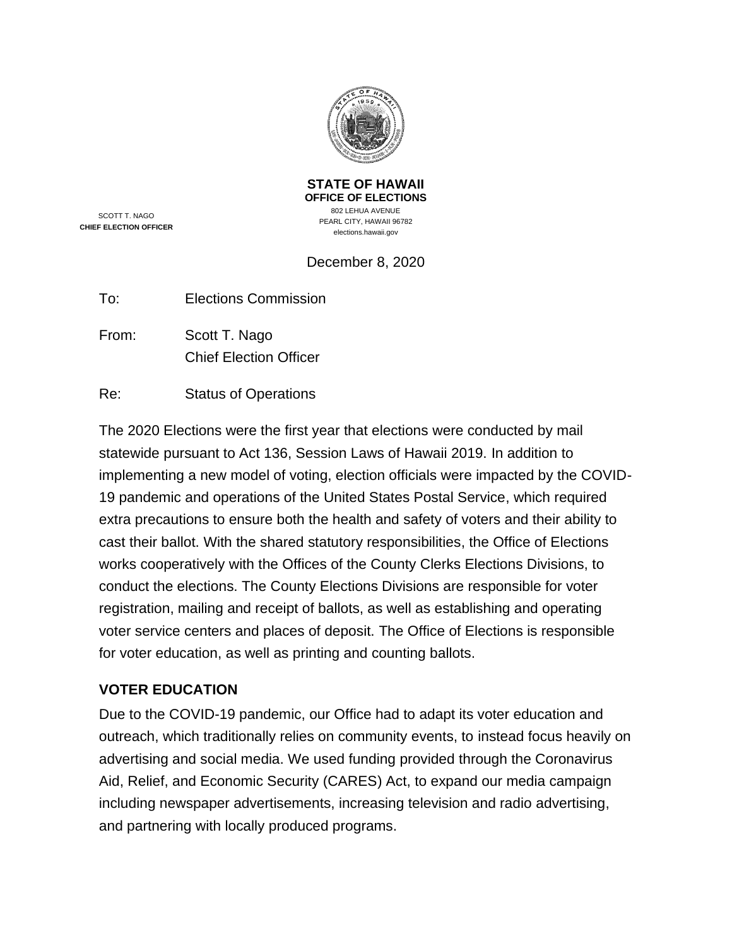

**STATE OF HAWAII OFFICE OF ELECTIONS** 802 LEHUA AVENUE PEARL CITY, HAWAII 96782 elections.hawaii.gov

SCOTT T. NAGO **CHIEF ELECTION OFFICER**

# December 8, 2020

| To: | <b>Elections Commission</b> |
|-----|-----------------------------|
|     |                             |

From: Scott T. Nago Chief Election Officer

Re: Status of Operations

The 2020 Elections were the first year that elections were conducted by mail statewide pursuant to Act 136, Session Laws of Hawaii 2019. In addition to implementing a new model of voting, election officials were impacted by the COVID-19 pandemic and operations of the United States Postal Service, which required extra precautions to ensure both the health and safety of voters and their ability to cast their ballot. With the shared statutory responsibilities, the Office of Elections works cooperatively with the Offices of the County Clerks Elections Divisions, to conduct the elections. The County Elections Divisions are responsible for voter registration, mailing and receipt of ballots, as well as establishing and operating voter service centers and places of deposit. The Office of Elections is responsible for voter education, as well as printing and counting ballots.

## **VOTER EDUCATION**

Due to the COVID-19 pandemic, our Office had to adapt its voter education and outreach, which traditionally relies on community events, to instead focus heavily on advertising and social media. We used funding provided through the Coronavirus Aid, Relief, and Economic Security (CARES) Act, to expand our media campaign including newspaper advertisements, increasing television and radio advertising, and partnering with locally produced programs.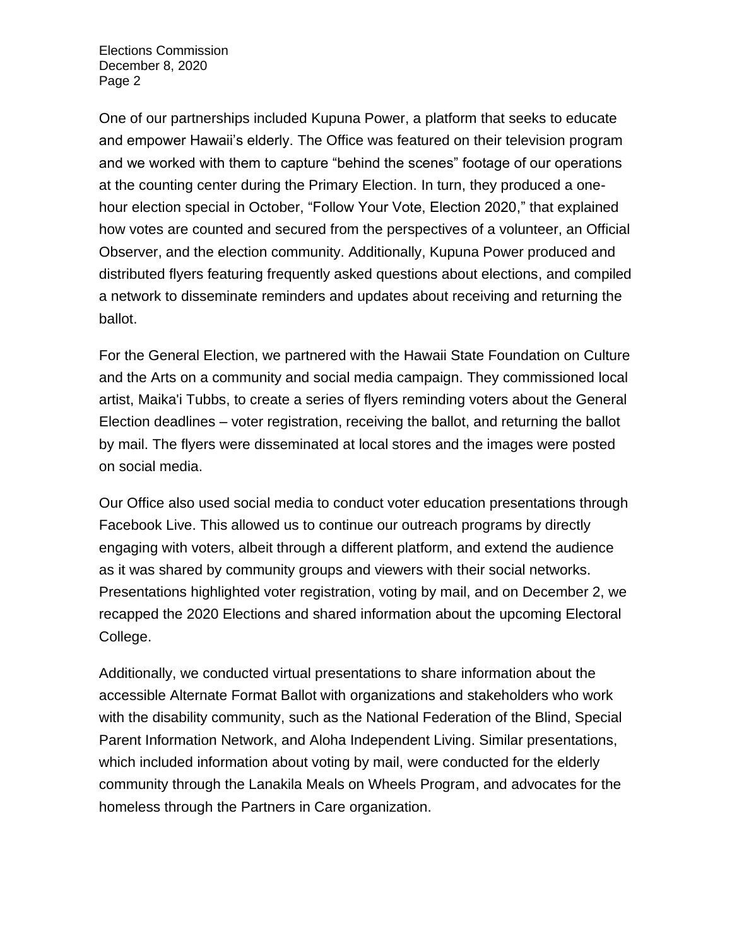One of our partnerships included Kupuna Power, a platform that seeks to educate and empower Hawaii's elderly. The Office was featured on their television program and we worked with them to capture "behind the scenes" footage of our operations at the counting center during the Primary Election. In turn, they produced a onehour election special in October, "Follow Your Vote, Election 2020," that explained how votes are counted and secured from the perspectives of a volunteer, an Official Observer, and the election community. Additionally, Kupuna Power produced and distributed flyers featuring frequently asked questions about elections, and compiled a network to disseminate reminders and updates about receiving and returning the ballot.

For the General Election, we partnered with the Hawaii State Foundation on Culture and the Arts on a community and social media campaign. They commissioned local artist, Maika'i Tubbs, to create a series of flyers reminding voters about the General Election deadlines – voter registration, receiving the ballot, and returning the ballot by mail. The flyers were disseminated at local stores and the images were posted on social media.

Our Office also used social media to conduct voter education presentations through Facebook Live. This allowed us to continue our outreach programs by directly engaging with voters, albeit through a different platform, and extend the audience as it was shared by community groups and viewers with their social networks. Presentations highlighted voter registration, voting by mail, and on December 2, we recapped the 2020 Elections and shared information about the upcoming Electoral College.

Additionally, we conducted virtual presentations to share information about the accessible Alternate Format Ballot with organizations and stakeholders who work with the disability community, such as the National Federation of the Blind, Special Parent Information Network, and Aloha Independent Living. Similar presentations, which included information about voting by mail, were conducted for the elderly community through the Lanakila Meals on Wheels Program, and advocates for the homeless through the Partners in Care organization.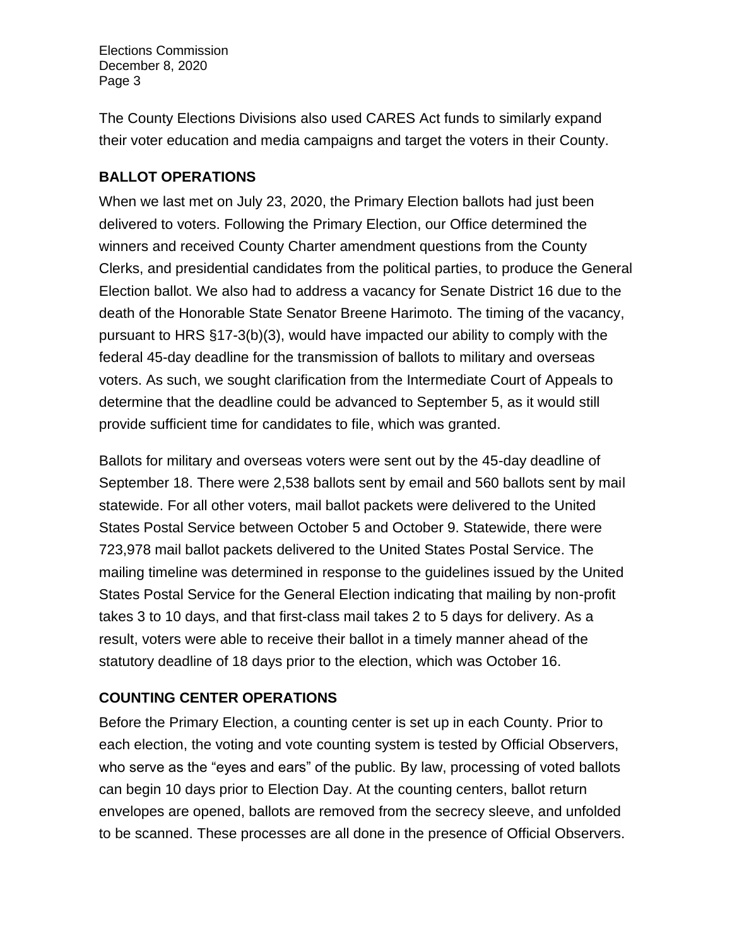The County Elections Divisions also used CARES Act funds to similarly expand their voter education and media campaigns and target the voters in their County.

## **BALLOT OPERATIONS**

When we last met on July 23, 2020, the Primary Election ballots had just been delivered to voters. Following the Primary Election, our Office determined the winners and received County Charter amendment questions from the County Clerks, and presidential candidates from the political parties, to produce the General Election ballot. We also had to address a vacancy for Senate District 16 due to the death of the Honorable State Senator Breene Harimoto. The timing of the vacancy, pursuant to HRS §17-3(b)(3), would have impacted our ability to comply with the federal 45-day deadline for the transmission of ballots to military and overseas voters. As such, we sought clarification from the Intermediate Court of Appeals to determine that the deadline could be advanced to September 5, as it would still provide sufficient time for candidates to file, which was granted.

Ballots for military and overseas voters were sent out by the 45-day deadline of September 18. There were 2,538 ballots sent by email and 560 ballots sent by mail statewide. For all other voters, mail ballot packets were delivered to the United States Postal Service between October 5 and October 9. Statewide, there were 723,978 mail ballot packets delivered to the United States Postal Service. The mailing timeline was determined in response to the guidelines issued by the United States Postal Service for the General Election indicating that mailing by non-profit takes 3 to 10 days, and that first-class mail takes 2 to 5 days for delivery. As a result, voters were able to receive their ballot in a timely manner ahead of the statutory deadline of 18 days prior to the election, which was October 16.

## **COUNTING CENTER OPERATIONS**

Before the Primary Election, a counting center is set up in each County. Prior to each election, the voting and vote counting system is tested by Official Observers, who serve as the "eyes and ears" of the public. By law, processing of voted ballots can begin 10 days prior to Election Day. At the counting centers, ballot return envelopes are opened, ballots are removed from the secrecy sleeve, and unfolded to be scanned. These processes are all done in the presence of Official Observers.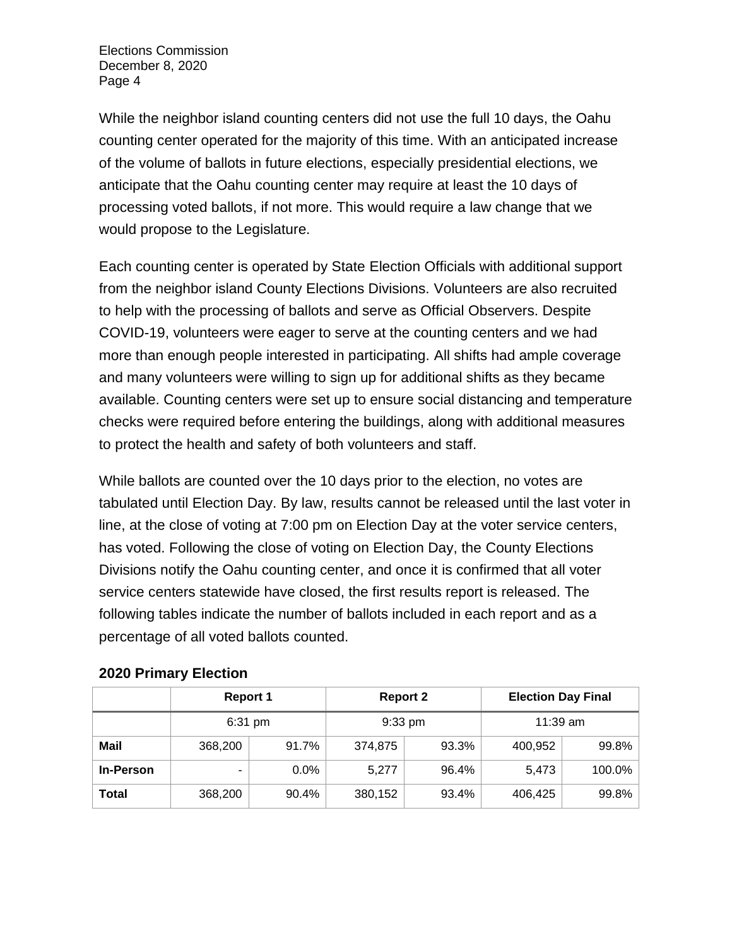While the neighbor island counting centers did not use the full 10 days, the Oahu counting center operated for the majority of this time. With an anticipated increase of the volume of ballots in future elections, especially presidential elections, we anticipate that the Oahu counting center may require at least the 10 days of processing voted ballots, if not more. This would require a law change that we would propose to the Legislature.

Each counting center is operated by State Election Officials with additional support from the neighbor island County Elections Divisions. Volunteers are also recruited to help with the processing of ballots and serve as Official Observers. Despite COVID-19, volunteers were eager to serve at the counting centers and we had more than enough people interested in participating. All shifts had ample coverage and many volunteers were willing to sign up for additional shifts as they became available. Counting centers were set up to ensure social distancing and temperature checks were required before entering the buildings, along with additional measures to protect the health and safety of both volunteers and staff.

While ballots are counted over the 10 days prior to the election, no votes are tabulated until Election Day. By law, results cannot be released until the last voter in line, at the close of voting at 7:00 pm on Election Day at the voter service centers, has voted. Following the close of voting on Election Day, the County Elections Divisions notify the Oahu counting center, and once it is confirmed that all voter service centers statewide have closed, the first results report is released. The following tables indicate the number of ballots included in each report and as a percentage of all voted ballots counted.

|                  | <b>Report 1</b> |         | <b>Report 2</b> |       | <b>Election Day Final</b> |           |
|------------------|-----------------|---------|-----------------|-------|---------------------------|-----------|
|                  | 6:31 pm         |         | 9:33 pm         |       | $11:39$ am                |           |
| Mail             | 368,200         | 91.7%   | 374,875         | 93.3% | 400,952                   | 99.8%     |
| <b>In-Person</b> | ۰               | $0.0\%$ | 5,277           | 96.4% | 5,473                     | $100.0\%$ |
| Total            | 368,200         | 90.4%   | 380,152         | 93.4% | 406,425                   | 99.8%     |

#### **2020 Primary Election**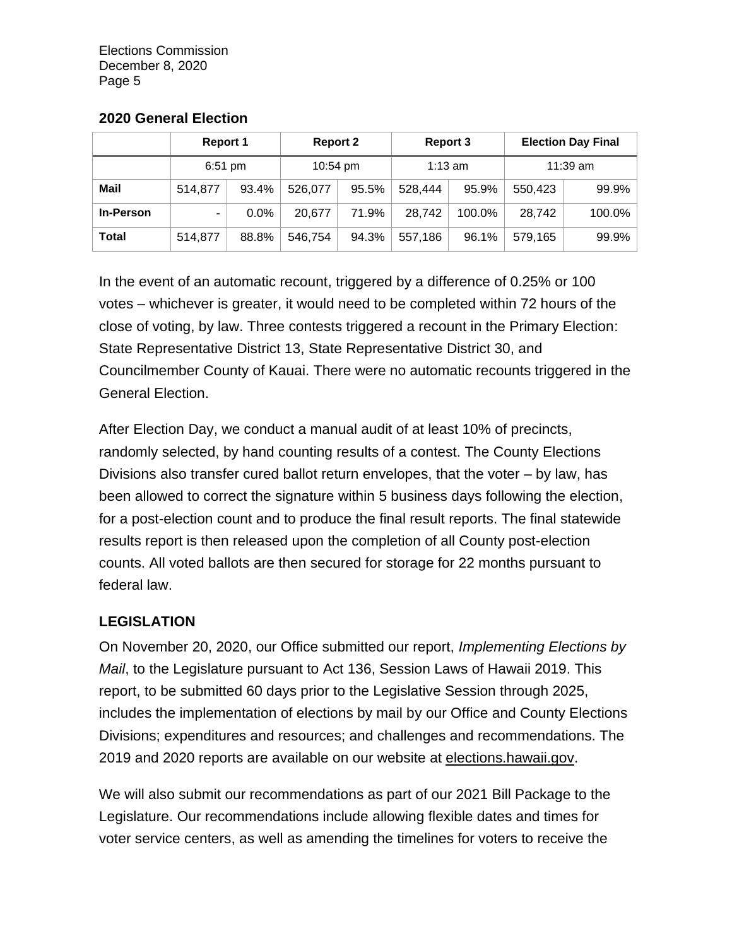#### **2020 General Election**

|                  | <b>Report 1</b> |                                    | <b>Report 2</b> |       | <b>Report 3</b> |        | <b>Election Day Final</b> |        |
|------------------|-----------------|------------------------------------|-----------------|-------|-----------------|--------|---------------------------|--------|
|                  |                 | $6:51$ pm<br>$1:13$ am<br>10:54 pm |                 |       | 11:39 am        |        |                           |        |
| <b>Mail</b>      | 514,877         | 93.4%                              | 526,077         | 95.5% | 528,444         | 95.9%  | 550,423                   | 99.9%  |
| <b>In-Person</b> | ۰.              | $0.0\%$                            | 20,677          | 71.9% | 28,742          | 100.0% | 28,742                    | 100.0% |
| <b>Total</b>     | 514,877         | 88.8%                              | 546.754         | 94.3% | 557,186         | 96.1%  | 579,165                   | 99.9%  |

In the event of an automatic recount, triggered by a difference of 0.25% or 100 votes – whichever is greater, it would need to be completed within 72 hours of the close of voting, by law. Three contests triggered a recount in the Primary Election: State Representative District 13, State Representative District 30, and Councilmember County of Kauai. There were no automatic recounts triggered in the General Election.

After Election Day, we conduct a manual audit of at least 10% of precincts, randomly selected, by hand counting results of a contest. The County Elections Divisions also transfer cured ballot return envelopes, that the voter – by law, has been allowed to correct the signature within 5 business days following the election, for a post-election count and to produce the final result reports. The final statewide results report is then released upon the completion of all County post-election counts. All voted ballots are then secured for storage for 22 months pursuant to federal law.

### **LEGISLATION**

On November 20, 2020, our Office submitted our report, *Implementing Elections by Mail*, to the Legislature pursuant to Act 136, Session Laws of Hawaii 2019. This report, to be submitted 60 days prior to the Legislative Session through 2025, includes the implementation of elections by mail by our Office and County Elections Divisions; expenditures and resources; and challenges and recommendations. The 2019 and 2020 reports are available on our website at elections.hawaii.gov.

We will also submit our recommendations as part of our 2021 Bill Package to the Legislature. Our recommendations include allowing flexible dates and times for voter service centers, as well as amending the timelines for voters to receive the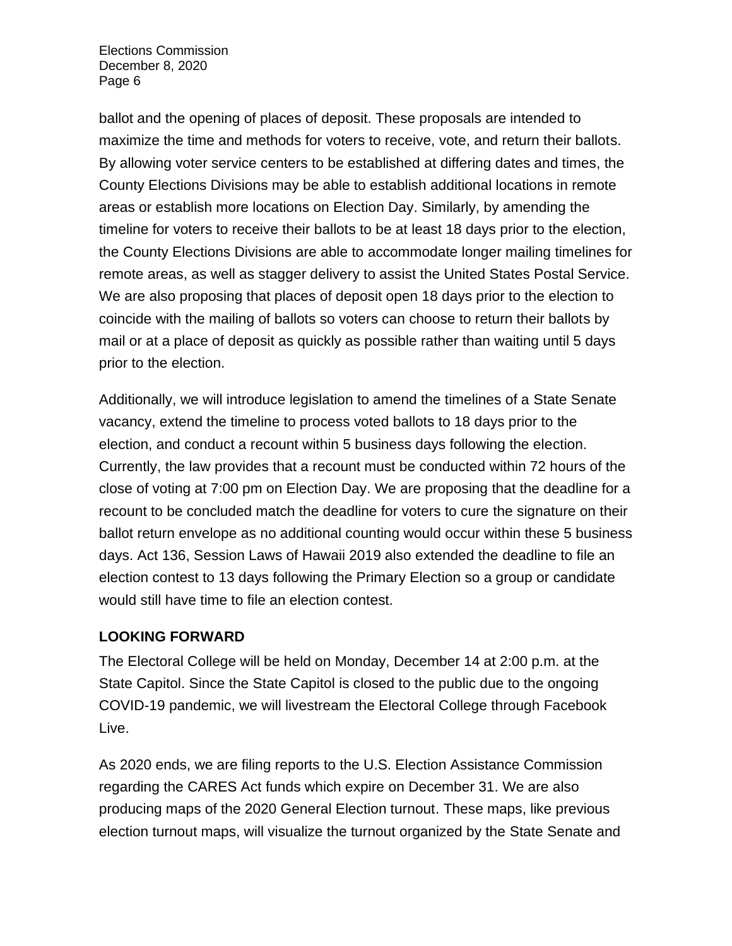ballot and the opening of places of deposit. These proposals are intended to maximize the time and methods for voters to receive, vote, and return their ballots. By allowing voter service centers to be established at differing dates and times, the County Elections Divisions may be able to establish additional locations in remote areas or establish more locations on Election Day. Similarly, by amending the timeline for voters to receive their ballots to be at least 18 days prior to the election, the County Elections Divisions are able to accommodate longer mailing timelines for remote areas, as well as stagger delivery to assist the United States Postal Service. We are also proposing that places of deposit open 18 days prior to the election to coincide with the mailing of ballots so voters can choose to return their ballots by mail or at a place of deposit as quickly as possible rather than waiting until 5 days prior to the election.

Additionally, we will introduce legislation to amend the timelines of a State Senate vacancy, extend the timeline to process voted ballots to 18 days prior to the election, and conduct a recount within 5 business days following the election. Currently, the law provides that a recount must be conducted within 72 hours of the close of voting at 7:00 pm on Election Day. We are proposing that the deadline for a recount to be concluded match the deadline for voters to cure the signature on their ballot return envelope as no additional counting would occur within these 5 business days. Act 136, Session Laws of Hawaii 2019 also extended the deadline to file an election contest to 13 days following the Primary Election so a group or candidate would still have time to file an election contest.

### **LOOKING FORWARD**

The Electoral College will be held on Monday, December 14 at 2:00 p.m. at the State Capitol. Since the State Capitol is closed to the public due to the ongoing COVID-19 pandemic, we will livestream the Electoral College through Facebook Live.

As 2020 ends, we are filing reports to the U.S. Election Assistance Commission regarding the CARES Act funds which expire on December 31. We are also producing maps of the 2020 General Election turnout. These maps, like previous election turnout maps, will visualize the turnout organized by the State Senate and